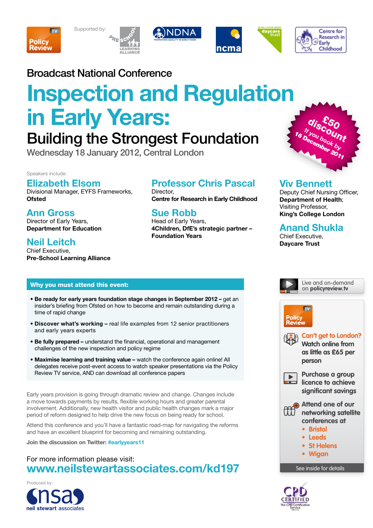









## Broadcast National Conference

# **Inspection and Regulation in Early Years:**

## Building the Strongest Foundation

Wednesday 18 January 2012, Central London

Speakers include:

### **Elizabeth Elsom**

Divisional Manager, EYFS Frameworks, **Ofsted**

**Ann Gross** Director of Early Years, **Department for Education** 

## **Neil Leitch**

Chief Executive, **Pre-School Learning Alliance**

#### Why you must attend this event:

- **Be ready for early years foundation stage changes in September 2012** get an insider's briefing from Ofsted on how to become and remain outstanding during a time of rapid change
- **Discover what's working** real life examples from 12 senior practitioners and early years experts
- **Be fully prepared** understand the financial, operational and management challenges of the new inspection and policy regime
- **Maximise learning and training value** watch the conference again online! All delegates receive post-event access to watch speaker presentations via the Policy Review TV service, AND can download all conference papers

Early years provision is going through dramatic review and change. Changes include a move towards payments by results, flexible working hours and greater parental involvement. Additionally, new health visitor and public health changes mark a major period of reform designed to help drive the new focus on being ready for school.

Attend this conference and you'll have a fantastic road-map for navigating the reforms and have an excellent blueprint for becoming and remaining outstanding.

**Join the discussion on Twitter: #earlyyears11**

#### For more information please visit: **www.neilstewartassociates.com/kd197**



## **Professor Chris Pascal**

Director, **Centre for Research in Early Childhood**

## **Sue Robb**

Head of Early Years, **4Children, DfE's strategic partner – Foundation Years**

#### **Viv Bennett**

Deputy Chief Nursing Officer, **Department of Health**; Visiting Professor, **King's College London** 

dis<sup>E5</sup>0<br><sup>Sou bo</sup>unt **If you book by**<br>**December** by 16 December 20<sub>11</sub>

> Live and on-demand on **policyreview.tv**

### **Anand Shukla**

Chief Executive, **Daycare Trust**



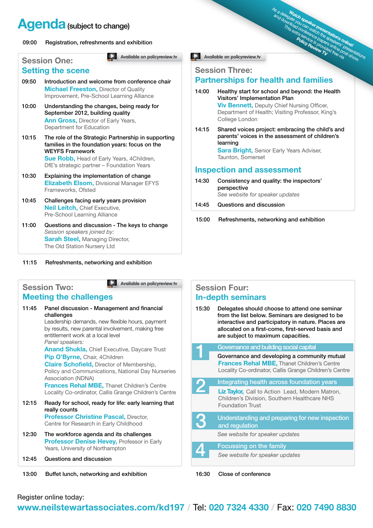## **Agenda** (subject to change)

#### 09:00 Registration, refreshments and exhibition

**Available on policyreview.tv** 

#### **Session One: Setting the scene**

- 09:50 Introduction and welcome from conference chair **Michael Freeston, Director of Quality** Improvement, Pre-School Learning Alliance
- 10:00 Understanding the changes, being ready for September 2012, building quality **Ann Gross,** Director of Early Years, Department for Education
- 10:15 The role of the Strategic Partnership in supporting families in the foundation years: focus on the WEYFS Framework **Sue Robb,** Head of Early Years, 4Children,

DfE's strategic partner – Foundation Years

- 10:30 Explaining the implementation of change **Elizabeth Elsom,** Divisional Manager EFYS Frameworks, Ofsted
- 10:45 Challenges facing early years provision **Neil Leitch,** Chief Executive, Pre-School Learning Alliance
- 11:00 Questions and discussion The keys to change *Session speakers joined by:*  **Sarah Steel, Managing Director,** The Old Station Nursery Ltd
- 11:15 Refreshments, networking and exhibition

**Available on policyreview.tv**

#### **Session Two: Meeting the challenges**

- 11:45 Panel discussion Management and financial challenges Leadership demands, new flexible hours, payment by results, new parental involvement, making free entitlement work at a local level *Panel speakers:* **Anand Shukla,** Chief Executive, Daycare Trust **Pip O'Byrne,** Chair, 4Children **Claire Schofield,** Director of Membership, Policy and Communications, National Day Nurseries Association (NDNA) **Frances Rehal MBE,** Thanet Children's Centre Locality Co-ordinator, Callis Grange Children's Centre 12:15 Ready for school, ready for life: early learning that really counts **Professor Christine Pascal, Director,** Centre for Research in Early Childhood 12:30 The workforce agenda and its challenges **Professor Denise Hevey, Professor in Early** Years, University of Northampton
- 12:45 Questions and discussion

13:00 Buffet lunch, networking and exhibition

#### **Available on policyreview.tv**

#### **Session Three:**

### **Partnerships for health and families**

14:00 Healthy start for school and beyond: the Health Visitors' Implementation Plan **Viv Bennett,** Deputy Chief Nursing Officer,

Department of Health; Visiting Professor, King's College London

As a delegate of March speakers online is presentations only a few of the speakers online presentations

14:15 Shared voices project: embracing the child's and parents' voices in the assessment of children's learning **Sara Bright, Senior Early Years Adviser,** Taunton, Somerset

#### **Inspection and assessment**

14:30 Consistency and quality: the inspectors' perspective *See website for speaker updates*

14:45 Questions and discussion

15:00 Refreshments, networking and exhibition

#### **Session Four: In-depth seminars**

15:30 Delegates should choose to attend one seminar from the list below. Seminars are designed to be interactive and participatory in nature. Places are allocated on a first-come, first-served basis and are subject to maximum capacities.

|   | Governance and building social capital                                                                                                                       |  |  |  |
|---|--------------------------------------------------------------------------------------------------------------------------------------------------------------|--|--|--|
|   | Governance and developing a community mutual<br><b>Frances Rehal MBE, Thanet Children's Centre</b><br>Locality Co-ordinator, Callis Grange Children's Centre |  |  |  |
|   | Integrating health across foundation years                                                                                                                   |  |  |  |
|   | Liz Taylor, Call to Action Lead, Modern Matron,<br><b>Children's Division, Southern Healthcare NHS</b><br><b>Foundation Trust</b>                            |  |  |  |
| Ю | Understanding and preparing for new inspection<br>and regulation                                                                                             |  |  |  |
|   | See website for speaker updates                                                                                                                              |  |  |  |
|   | <b>Focussing on the family</b>                                                                                                                               |  |  |  |
|   | See website for speaker updates                                                                                                                              |  |  |  |

16:30 Close of conference

Register online today:

## **www.neilstewartassociates.com/kd197 /** Tel: **020 7324 4330 /** Fax: **020 7490 8830**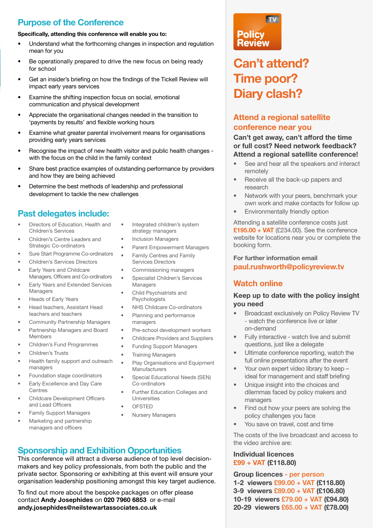### **Purpose of the Conference**

#### **Specifically, attending this conference will enable you to:**

- Understand what the forthcoming changes in inspection and regulation mean for you
- Be operationally prepared to drive the new focus on being ready for school
- Get an insider's briefing on how the findings of the Tickell Review will impact early years services
- Examine the shifting inspection focus on social, emotional communication and physical development
- Appreciate the organisational changes needed in the transition to 'payments by results' and flexible working hours
- Examine what greater parental involvement means for organisations providing early years services
- Recognise the impact of new health visitor and public health changes with the focus on the child in the family context
- Share best practice examples of outstanding performance by providers and how they are being achieved
- Determine the best methods of leadership and professional development to tackle the new challenges

#### **Past delegates include:**

- Directors of Education, Health and Children's Services
- Children's Centre Leaders and Strategic Co-ordinators
- Sure Start Programme Co-ordinators
- Children's Services Directors
- Early Years and Childcare Managers, Officers and Co-ordinators
- Early Years and Extended Services Managers
- Heads of Early Years
- Head teachers, Assistant Head teachers and teachers
- Community Partnership Managers
- Partnership Managers and Board Members
- Children's Fund Programmes
- Children's Trusts
- Health family support and outreach managers
- Foundation stage coordinators
- Early Excellence and Day Care Centres
- Childcare Development Officers and Lead Officers
- Family Support Managers
- Marketing and partnership managers and officers
- Integrated children's system strategy managers
- Inclusion Managers
- Parent Empowerment Managers
- Family Centres and Family Services Directors
- Commissioning managers
- Specialist Children's Services Managers
- Child Psychiatrists and Psychologists
- NHS Childcare Co-ordinators
- Planning and performance managers
- Pre-school development workers
- Childcare Providers and Suppliers
- Funding Support Managers
- **Training Managers**
- Play Organisations and Equipment **Manufacturers**
- Special Educational Needs (SEN) Co-ordinators
- Further Education Colleges and Universities
- OFSTED
- Nursery Managers

#### **Sponsorship and Exhibition Opportunities**

This conference will attract a diverse audience of top level decisionmakers and key policy professionals, from both the public and the private sector. Sponsoring or exhibiting at this event will ensure your organisation leadership positioning amongst this key target audience.

To find out more about the bespoke packages on offer please contact **Andy Josephides** on **020 7960 6853** or e-mail **andy.josephides@neilstewartassociates.co.uk**



## **Can't attend? Time poor? Diary clash?**

#### **Attend a regional satellite conference near you**

#### **Can't get away, can't afford the time or full cost? Need network feedback? Attend a regional satellite conference!**

- See and hear all the speakers and interact remotely
- Receive all the back-up papers and research
- Network with your peers, benchmark your own work and make contacts for follow up
- Environmentally friendly option

Attending a satellite conference costs just **£195.00 + VAT** (£234.00). See the conference website for locations near you or complete the booking form.

**For further information email paul.rushworth@policyreview.tv**

#### **Watch online**

#### **Keep up to date with the policy insight you need**

- Broadcast exclusively on Policy Review TV - watch the conference live or later on-demand
- Fully interactive watch live and submit questions, just like a delegate
- Ultimate conference reporting, watch the full online presentations after the event
- Your own expert video library to keep ideal for management and staff briefing
- Unique insight into the choices and dilemmas faced by policy makers and managers
- Find out how your peers are solving the policy challenges you face
- You save on travel, cost and time

The costs of the live broadcast and access to the video archive are:

#### **Individual licences £99 + VAT (£118.80)**

**Group licences - per person 1-2 viewers £99.00 + VAT (£118.80) 3-9 viewers £89.00 + VAT (£106.80) 10-19 viewers £79.00 + VAT (£94.80) 20-29 viewers £65.00 + VAT (£78.00)**